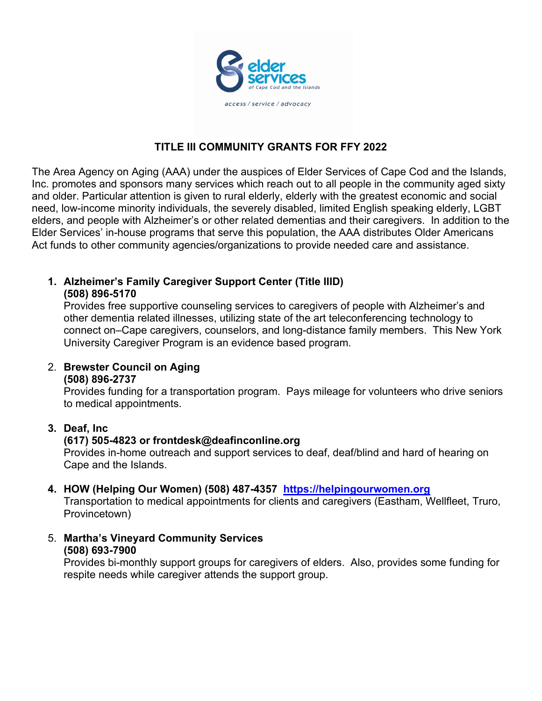

### **TITLE III COMMUNITY GRANTS FOR FFY 2022**

The Area Agency on Aging (AAA) under the auspices of Elder Services of Cape Cod and the Islands, Inc. promotes and sponsors many services which reach out to all people in the community aged sixty and older. Particular attention is given to rural elderly, elderly with the greatest economic and social need, low-income minority individuals, the severely disabled, limited English speaking elderly, LGBT elders, and people with Alzheimer's or other related dementias and their caregivers. In addition to the Elder Services' in-house programs that serve this population, the AAA distributes Older Americans Act funds to other community agencies/organizations to provide needed care and assistance.

### **1. Alzheimer's Family Caregiver Support Center (Title IIID) (508) 896-5170**

Provides free supportive counseling services to caregivers of people with Alzheimer's and other dementia related illnesses, utilizing state of the art teleconferencing technology to connect on–Cape caregivers, counselors, and long-distance family members. This New York University Caregiver Program is an evidence based program.

2. **Brewster Council on Aging (508) 896-2737**

Provides funding for a transportation program. Pays mileage for volunteers who drive seniors to medical appointments.

#### **3. Deaf, Inc**

#### **(617) 505-4823 or frontdesk@deafinconline.org**

Provides in-home outreach and support services to deaf, deaf/blind and hard of hearing on Cape and the Islands.

#### **4. HOW (Helping Our Women) (508) 487-4357 [https://helpingourwomen.org](https://helpingourwomen.org/)**

Transportation to medical appointments for clients and caregivers (Eastham, Wellfleet, Truro, Provincetown)

5. **Martha's Vineyard Community Services (508) 693-7900** 

Provides bi-monthly support groups for caregivers of elders. Also, provides some funding for respite needs while caregiver attends the support group.